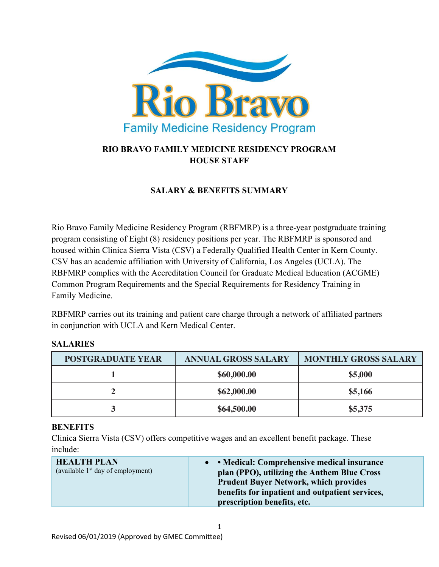

# RIO BRAVO FAMILY MEDICINE RESIDENCY PROGRAM HOUSE STAFF

### SALARY & BENEFITS SUMMARY

Rio Bravo Family Medicine Residency Program (RBFMRP) is a three-year postgraduate training program consisting of Eight (8) residency positions per year. The RBFMRP is sponsored and housed within Clinica Sierra Vista (CSV) a Federally Qualified Health Center in Kern County. CSV has an academic affiliation with University of California, Los Angeles (UCLA). The RBFMRP complies with the Accreditation Council for Graduate Medical Education (ACGME) Common Program Requirements and the Special Requirements for Residency Training in Family Medicine.

RBFMRP carries out its training and patient care charge through a network of affiliated partners in conjunction with UCLA and Kern Medical Center.

#### SALARIES

| <b>POSTGRADUATE YEAR</b> | <b>ANNUAL GROSS SALARY</b> | <b>MONTHLY GROSS SALARY</b> |
|--------------------------|----------------------------|-----------------------------|
|                          | \$60,000.00                | \$5,000                     |
|                          | \$62,000.00                | \$5,166                     |
| ີ -                      | \$64,500.00                | \$5,375                     |

#### **BENEFITS**

Clinica Sierra Vista (CSV) offers competitive wages and an excellent benefit package. These include:

| <b>HEALTH PLAN</b><br>• • Medical: Comprehensive medical insurance<br>(available $1st$ day of employment)<br>plan (PPO), utilizing the Anthem Blue Cross<br><b>Prudent Buyer Network, which provides</b><br>benefits for inpatient and outpatient services,<br>prescription benefits, etc. |
|--------------------------------------------------------------------------------------------------------------------------------------------------------------------------------------------------------------------------------------------------------------------------------------------|
|--------------------------------------------------------------------------------------------------------------------------------------------------------------------------------------------------------------------------------------------------------------------------------------------|

1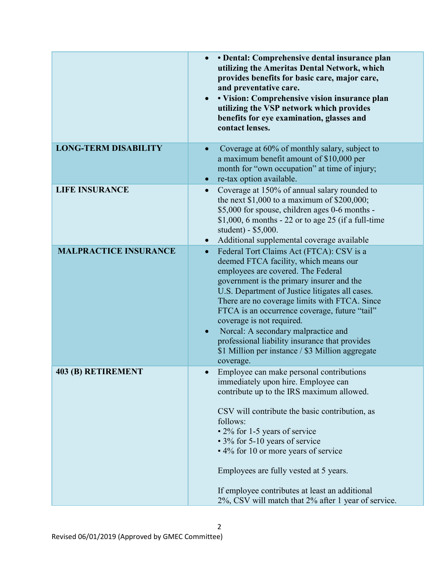|                              | • Dental: Comprehensive dental insurance plan<br>utilizing the Ameritas Dental Network, which<br>provides benefits for basic care, major care,<br>and preventative care.<br>· Vision: Comprehensive vision insurance plan<br>utilizing the VSP network which provides<br>benefits for eye examination, glasses and<br>contact lenses.                                                                                                                                                                                                      |
|------------------------------|--------------------------------------------------------------------------------------------------------------------------------------------------------------------------------------------------------------------------------------------------------------------------------------------------------------------------------------------------------------------------------------------------------------------------------------------------------------------------------------------------------------------------------------------|
| <b>LONG-TERM DISABILITY</b>  | Coverage at 60% of monthly salary, subject to<br>a maximum benefit amount of \$10,000 per<br>month for "own occupation" at time of injury;<br>re-tax option available.                                                                                                                                                                                                                                                                                                                                                                     |
| <b>LIFE INSURANCE</b>        | Coverage at 150% of annual salary rounded to<br>$\bullet$<br>the next $$1,000$ to a maximum of $$200,000$ ;<br>\$5,000 for spouse, children ages 0-6 months -<br>\$1,000, 6 months $-22$ or to age 25 (if a full-time<br>student) - \$5,000.<br>Additional supplemental coverage available                                                                                                                                                                                                                                                 |
| <b>MALPRACTICE INSURANCE</b> | Federal Tort Claims Act (FTCA): CSV is a<br>$\bullet$<br>deemed FTCA facility, which means our<br>employees are covered. The Federal<br>government is the primary insurer and the<br>U.S. Department of Justice litigates all cases.<br>There are no coverage limits with FTCA. Since<br>FTCA is an occurrence coverage, future "tail"<br>coverage is not required.<br>Norcal: A secondary malpractice and<br>$\bullet$<br>professional liability insurance that provides<br>\$1 Million per instance / \$3 Million aggregate<br>coverage. |
| 403 (B) RETIREMENT           | Employee can make personal contributions<br>immediately upon hire. Employee can<br>contribute up to the IRS maximum allowed.<br>CSV will contribute the basic contribution, as<br>follows:<br>• 2% for 1-5 years of service<br>• 3% for 5-10 years of service<br>• 4% for 10 or more years of service<br>Employees are fully vested at 5 years.<br>If employee contributes at least an additional<br>2%, CSV will match that 2% after 1 year of service.                                                                                   |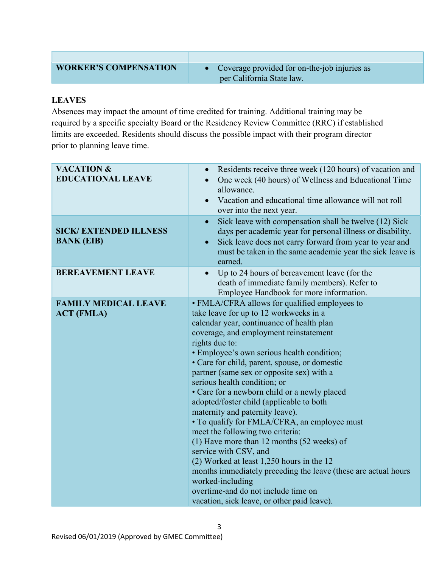$\bullet$  Coverage provided for on-the-job injuries as per California State law.

### LEAVES

Absences may impact the amount of time credited for training. Additional training may be required by a specific specialty Board or the Residency Review Committee (RRC) if established limits are exceeded. Residents should discuss the possible impact with their program director prior to planning leave time.

| <b>VACATION &amp;</b><br><b>EDUCATIONAL LEAVE</b> | Residents receive three week (120 hours) of vacation and<br>$\bullet$<br>One week (40 hours) of Wellness and Educational Time<br>allowance.<br>Vacation and educational time allowance will not roll<br>$\bullet$<br>over into the next year.                                                                                                                                                                                                                                                                                                                                                                                                                                                                                                                                                                                                                                                         |
|---------------------------------------------------|-------------------------------------------------------------------------------------------------------------------------------------------------------------------------------------------------------------------------------------------------------------------------------------------------------------------------------------------------------------------------------------------------------------------------------------------------------------------------------------------------------------------------------------------------------------------------------------------------------------------------------------------------------------------------------------------------------------------------------------------------------------------------------------------------------------------------------------------------------------------------------------------------------|
| <b>SICK/EXTENDED ILLNESS</b><br><b>BANK (EIB)</b> | Sick leave with compensation shall be twelve (12) Sick<br>$\bullet$<br>days per academic year for personal illness or disability.<br>Sick leave does not carry forward from year to year and<br>$\bullet$<br>must be taken in the same academic year the sick leave is<br>earned.                                                                                                                                                                                                                                                                                                                                                                                                                                                                                                                                                                                                                     |
| <b>BEREAVEMENT LEAVE</b>                          | Up to 24 hours of bereavement leave (for the<br>$\bullet$<br>death of immediate family members). Refer to<br>Employee Handbook for more information.                                                                                                                                                                                                                                                                                                                                                                                                                                                                                                                                                                                                                                                                                                                                                  |
| <b>FAMILY MEDICAL LEAVE</b><br><b>ACT (FMLA)</b>  | • FMLA/CFRA allows for qualified employees to<br>take leave for up to 12 workweeks in a<br>calendar year, continuance of health plan<br>coverage, and employment reinstatement<br>rights due to:<br>• Employee's own serious health condition;<br>• Care for child, parent, spouse, or domestic<br>partner (same sex or opposite sex) with a<br>serious health condition; or<br>• Care for a newborn child or a newly placed<br>adopted/foster child (applicable to both<br>maternity and paternity leave).<br>• To qualify for FMLA/CFRA, an employee must<br>meet the following two criteria:<br>$(1)$ Have more than 12 months $(52$ weeks) of<br>service with CSV, and<br>$(2)$ Worked at least 1,250 hours in the 12<br>months immediately preceding the leave (these are actual hours<br>worked-including<br>overtime-and do not include time on<br>vacation, sick leave, or other paid leave). |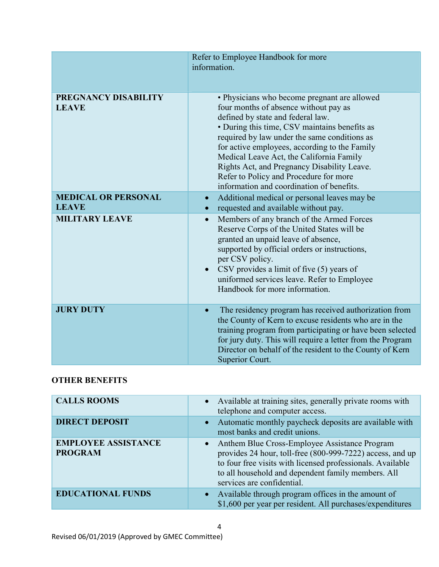|                                            | Refer to Employee Handbook for more<br>information.                                                                                                                                                                                                                                                                                                                                                                                                            |
|--------------------------------------------|----------------------------------------------------------------------------------------------------------------------------------------------------------------------------------------------------------------------------------------------------------------------------------------------------------------------------------------------------------------------------------------------------------------------------------------------------------------|
| PREGNANCY DISABILITY<br><b>LEAVE</b>       | • Physicians who become pregnant are allowed<br>four months of absence without pay as<br>defined by state and federal law.<br>• During this time, CSV maintains benefits as<br>required by law under the same conditions as<br>for active employees, according to the Family<br>Medical Leave Act, the California Family<br>Rights Act, and Pregnancy Disability Leave.<br>Refer to Policy and Procedure for more<br>information and coordination of benefits. |
| <b>MEDICAL OR PERSONAL</b><br><b>LEAVE</b> | Additional medical or personal leaves may be<br>$\bullet$<br>requested and available without pay.<br>$\bullet$                                                                                                                                                                                                                                                                                                                                                 |
| <b>MILITARY LEAVE</b>                      | Members of any branch of the Armed Forces<br>$\bullet$<br>Reserve Corps of the United States will be<br>granted an unpaid leave of absence,<br>supported by official orders or instructions,<br>per CSV policy.<br>• CSV provides a limit of five $(5)$ years of<br>uniformed services leave. Refer to Employee<br>Handbook for more information.                                                                                                              |
| <b>JURY DUTY</b>                           | The residency program has received authorization from<br>$\bullet$<br>the County of Kern to excuse residents who are in the<br>training program from participating or have been selected<br>for jury duty. This will require a letter from the Program<br>Director on behalf of the resident to the County of Kern<br>Superior Court.                                                                                                                          |

# OTHER BENEFITS

| <b>CALLS ROOMS</b>                           | • Available at training sites, generally private rooms with<br>telephone and computer access.                                                                                                                                                                  |
|----------------------------------------------|----------------------------------------------------------------------------------------------------------------------------------------------------------------------------------------------------------------------------------------------------------------|
| <b>DIRECT DEPOSIT</b>                        | • Automatic monthly paycheck deposits are available with<br>most banks and credit unions.                                                                                                                                                                      |
| <b>EMPLOYEE ASSISTANCE</b><br><b>PROGRAM</b> | • Anthem Blue Cross-Employee Assistance Program<br>provides 24 hour, toll-free (800-999-7222) access, and up<br>to four free visits with licensed professionals. Available<br>to all household and dependent family members. All<br>services are confidential. |
| <b>EDUCATIONAL FUNDS</b>                     | • Available through program offices in the amount of<br>\$1,600 per year per resident. All purchases/expenditures                                                                                                                                              |